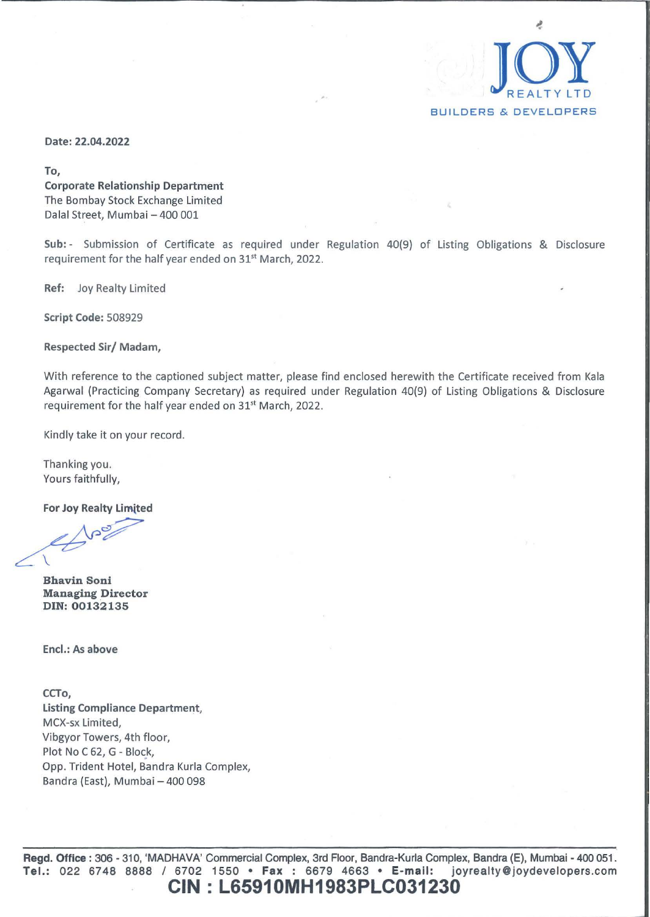

Date: 22.04.2022

To,

Corporate Relationship Department The Bombay Stock Exchange Limited Dalal Street, Mumbai - 400 001

Sub: - Submission of Certificate as required under Regulation 40(9) of Listing Obligations & Disclosure requirement for the half year ended on 31<sup>st</sup> March, 2022.

Ref: Joy Realty Limited

Script Code: 508929

Respected Sir/ Madam,

With reference to the captioned subject matter, please find enclosed herewith the Certificate received from Kala Agarwal (Practicing Company Secretary) as required under Regulation 40(9) of Listing Obligations & Disclosure requirement for the half year ended on 31<sup>st</sup> March, 2022.

Kindly take it on your record.

Thanking you. Yours faithfully,

**For Joy Realty Limited** 

For Joy Realty Limited<br>

Bhavin Soni **Managing Director** DIN: 00132135

Encl.: As above

CCTo, Listing Compliance Department, MCX-sx Limited, Vibgyor Towers, 4th floor, Plot No C 62, G - Block, Opp. Trident Hotel, Bandra Kurla Complex, Bandra (East), Mumbai - 400 098

Regd. Office: 306 - 310, 'MADHAVA' Commercial Complex, 3rd Floor, Bandra-Kurla Complex, Sandra (E), Mumbai - 400 051. Tel.: 022 6748 8888 I 6702 1550 • Fax : 6679 4663 • E-mail: joyrealty@joydevelopers.com **CIN : L65910MH1983PLC031230**